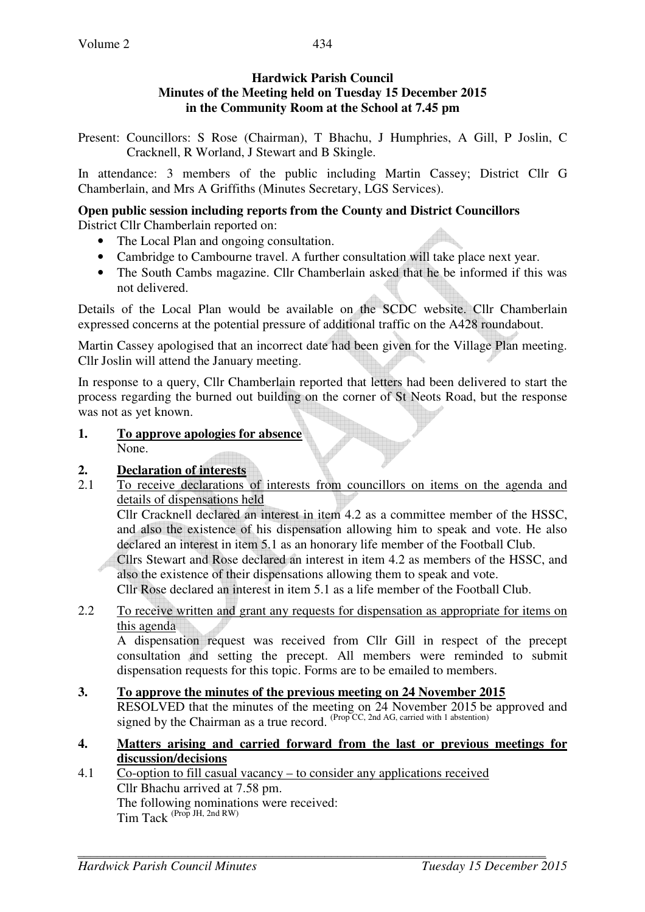### **Hardwick Parish Council Minutes of the Meeting held on Tuesday 15 December 2015 in the Community Room at the School at 7.45 pm**

Present: Councillors: S Rose (Chairman), T Bhachu, J Humphries, A Gill, P Joslin, C Cracknell, R Worland, J Stewart and B Skingle.

In attendance: 3 members of the public including Martin Cassey; District Cllr G Chamberlain, and Mrs A Griffiths (Minutes Secretary, LGS Services).

#### **Open public session including reports from the County and District Councillors**  District Cllr Chamberlain reported on:

- The Local Plan and ongoing consultation.
- Cambridge to Cambourne travel. A further consultation will take place next year.
- The South Cambs magazine. Cllr Chamberlain asked that he be informed if this was not delivered.

Details of the Local Plan would be available on the SCDC website. Cllr Chamberlain expressed concerns at the potential pressure of additional traffic on the A428 roundabout.

Martin Cassey apologised that an incorrect date had been given for the Village Plan meeting. Cllr Joslin will attend the January meeting.

In response to a query, Cllr Chamberlain reported that letters had been delivered to start the process regarding the burned out building on the corner of St Neots Road, but the response was not as yet known.

**1. To approve apologies for absence** None.

## **2. Declaration of interests**

2.1 To receive declarations of interests from councillors on items on the agenda and details of dispensations held

Cllr Cracknell declared an interest in item 4.2 as a committee member of the HSSC, and also the existence of his dispensation allowing him to speak and vote. He also declared an interest in item 5.1 as an honorary life member of the Football Club.

Cllrs Stewart and Rose declared an interest in item 4.2 as members of the HSSC, and also the existence of their dispensations allowing them to speak and vote.

Cllr Rose declared an interest in item 5.1 as a life member of the Football Club.

2.2 To receive written and grant any requests for dispensation as appropriate for items on this agenda

A dispensation request was received from Cllr Gill in respect of the precept consultation and setting the precept. All members were reminded to submit dispensation requests for this topic. Forms are to be emailed to members.

#### **3. To approve the minutes of the previous meeting on 24 November 2015**  RESOLVED that the minutes of the meeting on 24 November 2015 be approved and signed by the Chairman as a true record.  $(\text{Prop } CC, 2nd AG, \text{ carried with 1 abstraction})$

#### **4. Matters arising and carried forward from the last or previous meetings for discussion/decisions**

4.1 Co-option to fill casual vacancy – to consider any applications received Cllr Bhachu arrived at 7.58 pm. The following nominations were received: Tim Tack (Prop JH, 2nd RW)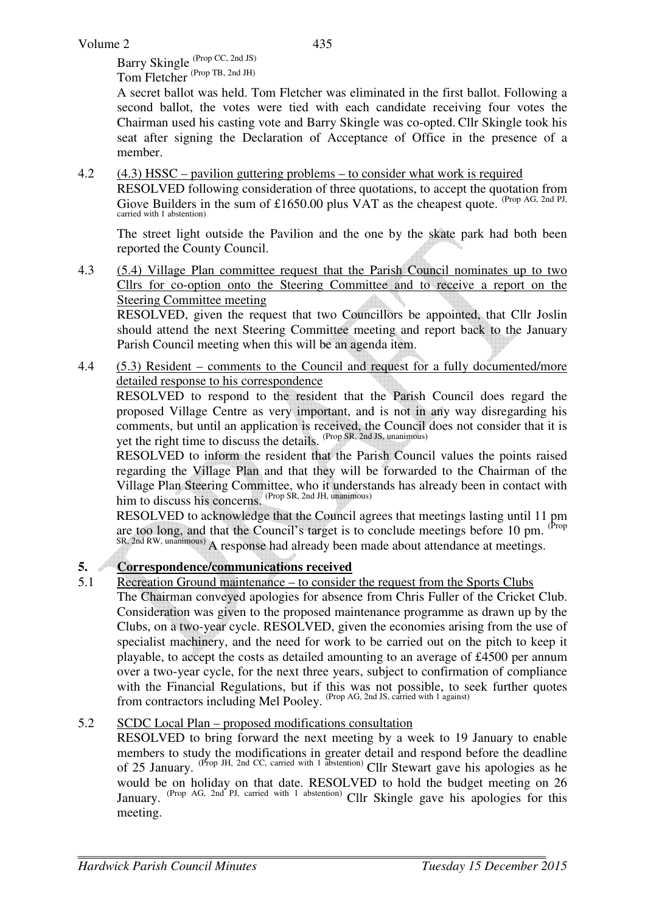Barry Skingle (Prop CC, 2nd JS) Tom Fletcher<sup>(Prop</sup> TB, 2nd JH)

A secret ballot was held. Tom Fletcher was eliminated in the first ballot. Following a second ballot, the votes were tied with each candidate receiving four votes the Chairman used his casting vote and Barry Skingle was co-opted. Cllr Skingle took his seat after signing the Declaration of Acceptance of Office in the presence of a member.

4.2 (4.3) HSSC – pavilion guttering problems – to consider what work is required RESOLVED following consideration of three quotations, to accept the quotation from Giove Builders in the sum of £1650.00 plus VAT as the cheapest quote. <sup>(Prop AG, 2nd PJ,</sup> carried with 1 abstention)

The street light outside the Pavilion and the one by the skate park had both been reported the County Council.

4.3 (5.4) Village Plan committee request that the Parish Council nominates up to two Cllrs for co-option onto the Steering Committee and to receive a report on the Steering Committee meeting

RESOLVED, given the request that two Councillors be appointed, that Cllr Joslin should attend the next Steering Committee meeting and report back to the January Parish Council meeting when this will be an agenda item.

4.4 (5.3) Resident – comments to the Council and request for a fully documented/more detailed response to his correspondence

 RESOLVED to respond to the resident that the Parish Council does regard the proposed Village Centre as very important, and is not in any way disregarding his comments, but until an application is received, the Council does not consider that it is yet the right time to discuss the details. (Prop SR, 2nd JS, unanimous)

RESOLVED to inform the resident that the Parish Council values the points raised regarding the Village Plan and that they will be forwarded to the Chairman of the Village Plan Steering Committee, who it understands has already been in contact with him to discuss his concerns. (Prop SR, 2nd JH, unanimous)

RESOLVED to acknowledge that the Council agrees that meetings lasting until 11 pm are too long, and that the Council's target is to conclude meetings before 10 pm. (Prop SR, 2nd RW, unanimous) A response had already been made about attendance at meetings.

## **5. Correspondence/communications received**

5.1 Recreation Ground maintenance – to consider the request from the Sports Clubs The Chairman conveyed apologies for absence from Chris Fuller of the Cricket Club. Consideration was given to the proposed maintenance programme as drawn up by the Clubs, on a two-year cycle. RESOLVED, given the economies arising from the use of specialist machinery, and the need for work to be carried out on the pitch to keep it playable, to accept the costs as detailed amounting to an average of £4500 per annum over a two-year cycle, for the next three years, subject to confirmation of compliance with the Financial Regulations, but if this was not possible, to seek further quotes from contractors including Mel Pooley. <sup>(Prop AG, 2nd JS, carried with 1 against)</sup>

#### 5.2 SCDC Local Plan – proposed modifications consultation

RESOLVED to bring forward the next meeting by a week to 19 January to enable members to study the modifications in greater detail and respond before the deadline of 25 January. (Prop JH, 2nd CC, carried with 1 abstention) Cllr Stewart gave his apologies as he would be on holiday on that date. RESOLVED to hold the budget meeting on 26 January. (Prop AG, 2nd PJ, carried with 1 abstention) Cllr Skingle gave his apologies for this meeting.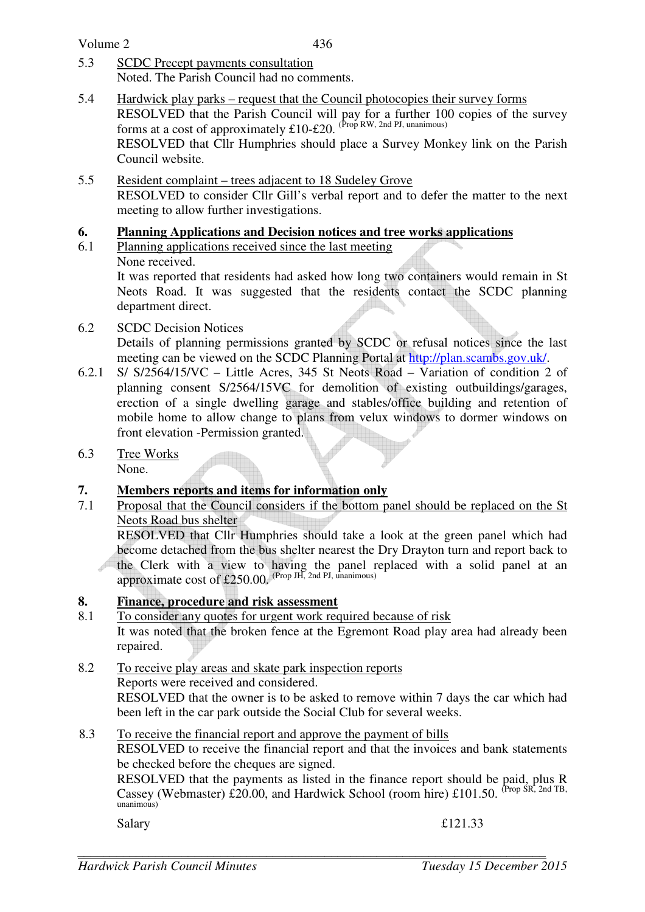Volume 2

- 5.3 SCDC Precept payments consultation Noted. The Parish Council had no comments.
- 5.4 Hardwick play parks request that the Council photocopies their survey forms RESOLVED that the Parish Council will pay for a further 100 copies of the survey forms at a cost of approximately  $£10-£20$ . (Prop RW, 2nd PJ, unanimous) RESOLVED that Cllr Humphries should place a Survey Monkey link on the Parish Council website.
- 5.5 Resident complaint trees adjacent to 18 Sudeley Grove RESOLVED to consider Cllr Gill's verbal report and to defer the matter to the next meeting to allow further investigations.

## **6. Planning Applications and Decision notices and tree works applications**

6.1 Planning applications received since the last meeting None received.

It was reported that residents had asked how long two containers would remain in St Neots Road. It was suggested that the residents contact the SCDC planning department direct.

6.2 SCDC Decision Notices

Details of planning permissions granted by SCDC or refusal notices since the last meeting can be viewed on the SCDC Planning Portal at http://plan.scambs.gov.uk/.

- 6.2.1 S/ S/2564/15/VC Little Acres, 345 St Neots Road Variation of condition 2 of planning consent S/2564/15VC for demolition of existing outbuildings/garages, erection of a single dwelling garage and stables/office building and retention of mobile home to allow change to plans from velux windows to dormer windows on front elevation -Permission granted.
- 6.3 Tree Works None.

# **7. Members reports and items for information only**

7.1 Proposal that the Council considers if the bottom panel should be replaced on the St Neots Road bus shelter

RESOLVED that Cllr Humphries should take a look at the green panel which had become detached from the bus shelter nearest the Dry Drayton turn and report back to the Clerk with a view to having the panel replaced with a solid panel at an approximate cost of £250.00. (Prop JH, 2nd PJ, unanimous)

# **8. Finance, procedure and risk assessment**

- 8.1 To consider any quotes for urgent work required because of risk It was noted that the broken fence at the Egremont Road play area had already been repaired.
- 8.2 To receive play areas and skate park inspection reports Reports were received and considered. RESOLVED that the owner is to be asked to remove within 7 days the car which had been left in the car park outside the Social Club for several weeks.
- 8.3 To receive the financial report and approve the payment of bills RESOLVED to receive the financial report and that the invoices and bank statements be checked before the cheques are signed.

RESOLVED that the payments as listed in the finance report should be paid, plus R Cassey (Webmaster) £20.00, and Hardwick School (room hire) £101.50. (Prop SR, 2nd TB, unanimous)

Salary  $\text{E121.33}$